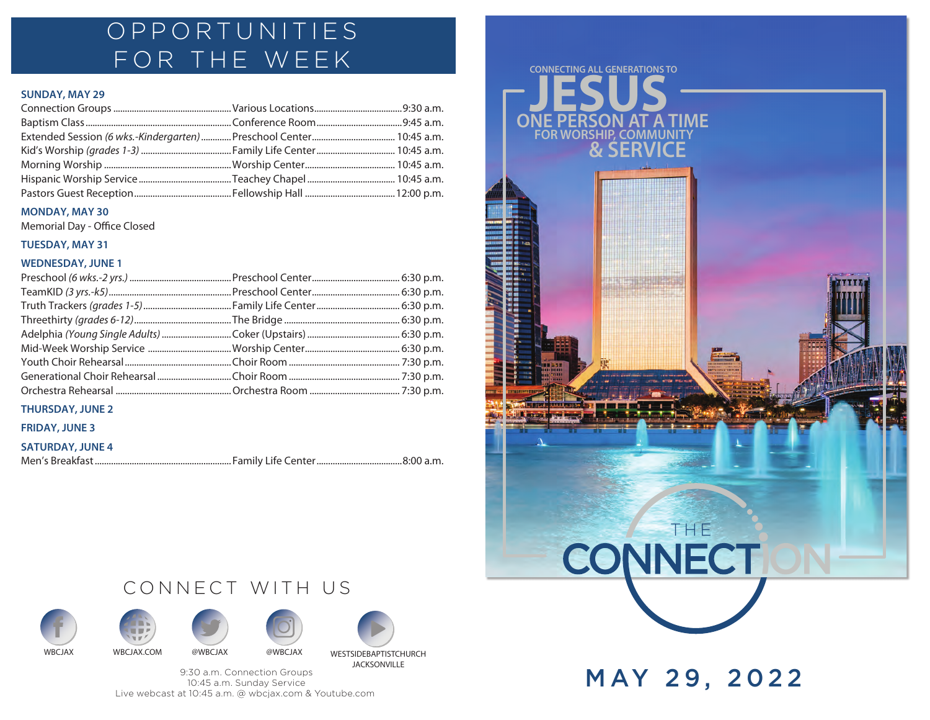## OPPORTUNITIES FOR THE WEEK

### **SUNDAY, MAY 29**

### **MONDAY, MAY 30**

Memorial Day - Office Closed

### **TUESDAY, MAY 31**

### **WEDNESDAY, JUNE 1**

## **THURSDAY, JUNE 2**

### **FRIDAY, JUNE 3**

```
SATURDAY, JUNE 4
```

```
Men's Breakfast ........................................................... Family Life Center.....................................8:00 a.m.
```
# CONNECT WITH US











9:30 a.m. Connection Groups 10:45 a.m. Sunday Service Live webcast at 10:45 a.m. @ wbcjax.com & Youtube.com